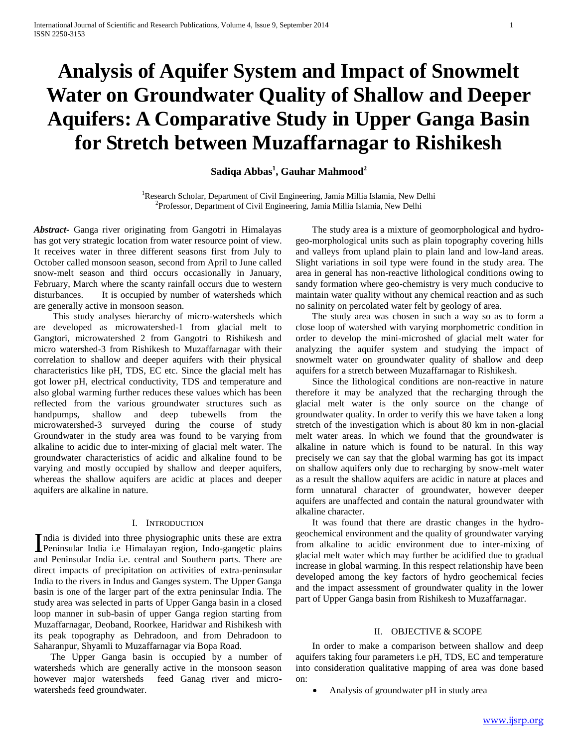# **Analysis of Aquifer System and Impact of Snowmelt Water on Groundwater Quality of Shallow and Deeper Aquifers: A Comparative Study in Upper Ganga Basin for Stretch between Muzaffarnagar to Rishikesh**

## **Sadiqa Abbas<sup>1</sup> , Gauhar Mahmood<sup>2</sup>**

<sup>1</sup>Research Scholar, Department of Civil Engineering, Jamia Millia Islamia, New Delhi 2 Professor, Department of Civil Engineering, Jamia Millia Islamia, New Delhi

*Abstract***-** Ganga river originating from Gangotri in Himalayas has got very strategic location from water resource point of view. It receives water in three different seasons first from July to October called monsoon season, second from April to June called snow-melt season and third occurs occasionally in January, February, March where the scanty rainfall occurs due to western disturbances. It is occupied by number of watersheds which are generally active in monsoon season.

 This study analyses hierarchy of micro-watersheds which are developed as microwatershed-1 from glacial melt to Gangtori, microwatershed 2 from Gangotri to Rishikesh and micro watershed-3 from Rishikesh to Muzaffarnagar with their correlation to shallow and deeper aquifers with their physical characteristics like pH, TDS, EC etc. Since the glacial melt has got lower pH, electrical conductivity, TDS and temperature and also global warming further reduces these values which has been reflected from the various groundwater structures such as handpumps, shallow and deep tubewells from the microwatershed-3 surveyed during the course of study Groundwater in the study area was found to be varying from alkaline to acidic due to inter-mixing of glacial melt water. The groundwater characteristics of acidic and alkaline found to be varying and mostly occupied by shallow and deeper aquifers, whereas the shallow aquifers are acidic at places and deeper aquifers are alkaline in nature.

### I. INTRODUCTION

ndia is divided into three physiographic units these are extra India is divided into three physiographic units these are extra<br>Peninsular India i.e Himalayan region, Indo-gangetic plains and Peninsular India i.e. central and Southern parts. There are direct impacts of precipitation on activities of extra-peninsular India to the rivers in Indus and Ganges system. The Upper Ganga basin is one of the larger part of the extra peninsular India. The study area was selected in parts of Upper Ganga basin in a closed loop manner in sub-basin of upper Ganga region starting from Muzaffarnagar, Deoband, Roorkee, Haridwar and Rishikesh with its peak topography as Dehradoon, and from Dehradoon to Saharanpur, Shyamli to Muzaffarnagar via Bopa Road.

 The Upper Ganga basin is occupied by a number of watersheds which are generally active in the monsoon season however major watersheds feed Ganag river and microwatersheds feed groundwater.

 The study area is a mixture of geomorphological and hydrogeo-morphological units such as plain topography covering hills and valleys from upland plain to plain land and low-land areas. Slight variations in soil type were found in the study area. The area in general has non-reactive lithological conditions owing to sandy formation where geo-chemistry is very much conducive to maintain water quality without any chemical reaction and as such no salinity on percolated water felt by geology of area.

 The study area was chosen in such a way so as to form a close loop of watershed with varying morphometric condition in order to develop the mini-microshed of glacial melt water for analyzing the aquifer system and studying the impact of snowmelt water on groundwater quality of shallow and deep aquifers for a stretch between Muzaffarnagar to Rishikesh.

 Since the lithological conditions are non-reactive in nature therefore it may be analyzed that the recharging through the glacial melt water is the only source on the change of groundwater quality. In order to verify this we have taken a long stretch of the investigation which is about 80 km in non-glacial melt water areas. In which we found that the groundwater is alkaline in nature which is found to be natural. In this way precisely we can say that the global warming has got its impact on shallow aquifers only due to recharging by snow-melt water as a result the shallow aquifers are acidic in nature at places and form unnatural character of groundwater, however deeper aquifers are unaffected and contain the natural groundwater with alkaline character.

 It was found that there are drastic changes in the hydrogeochemical environment and the quality of groundwater varying from alkaline to acidic environment due to inter-mixing of glacial melt water which may further be acidified due to gradual increase in global warming. In this respect relationship have been developed among the key factors of hydro geochemical fecies and the impact assessment of groundwater quality in the lower part of Upper Ganga basin from Rishikesh to Muzaffarnagar.

## II. OBJECTIVE & SCOPE

 In order to make a comparison between shallow and deep aquifers taking four parameters i.e pH, TDS, EC and temperature into consideration qualitative mapping of area was done based on:

Analysis of groundwater pH in study area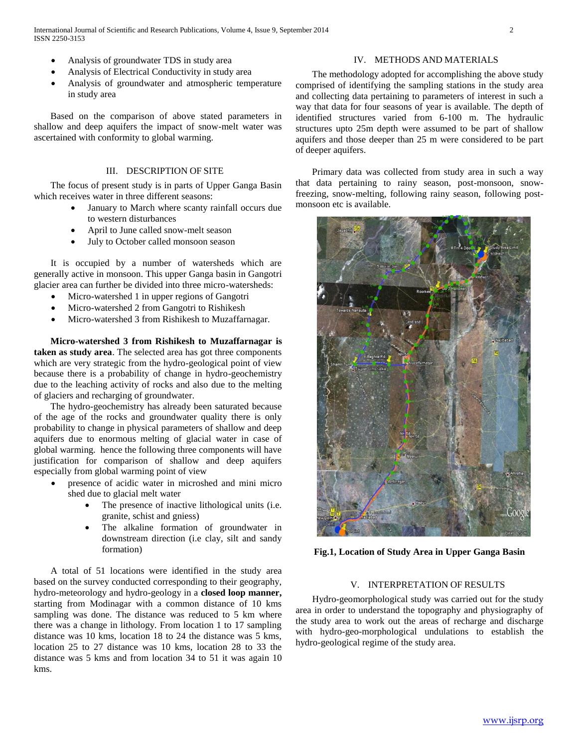- Analysis of groundwater TDS in study area
- Analysis of Electrical Conductivity in study area
- Analysis of groundwater and atmospheric temperature in study area

 Based on the comparison of above stated parameters in shallow and deep aquifers the impact of snow-melt water was ascertained with conformity to global warming.

## III. DESCRIPTION OF SITE

 The focus of present study is in parts of Upper Ganga Basin which receives water in three different seasons:

- January to March where scanty rainfall occurs due to western disturbances
- April to June called snow-melt season
- July to October called monsoon season

 It is occupied by a number of watersheds which are generally active in monsoon. This upper Ganga basin in Gangotri glacier area can further be divided into three micro-watersheds:

- Micro-watershed 1 in upper regions of Gangotri
- Micro-watershed 2 from Gangotri to Rishikesh
- Micro-watershed 3 from Rishikesh to Muzaffarnagar.

 **Micro-watershed 3 from Rishikesh to Muzaffarnagar is taken as study area**. The selected area has got three components which are very strategic from the hydro-geological point of view because there is a probability of change in hydro-geochemistry due to the leaching activity of rocks and also due to the melting of glaciers and recharging of groundwater.

 The hydro-geochemistry has already been saturated because of the age of the rocks and groundwater quality there is only probability to change in physical parameters of shallow and deep aquifers due to enormous melting of glacial water in case of global warming. hence the following three components will have justification for comparison of shallow and deep aquifers especially from global warming point of view

- presence of acidic water in microshed and mini micro shed due to glacial melt water
	- The presence of inactive lithological units (i.e. granite, schist and gniess)
	- The alkaline formation of groundwater in downstream direction (i.e clay, silt and sandy formation)

 A total of 51 locations were identified in the study area based on the survey conducted corresponding to their geography, hydro-meteorology and hydro-geology in a **closed loop manner,**  starting from Modinagar with a common distance of 10 kms sampling was done. The distance was reduced to 5 km where there was a change in lithology. From location 1 to 17 sampling distance was 10 kms, location 18 to 24 the distance was 5 kms, location 25 to 27 distance was 10 kms, location 28 to 33 the distance was 5 kms and from location 34 to 51 it was again 10 kms.

## IV. METHODS AND MATERIALS

 The methodology adopted for accomplishing the above study comprised of identifying the sampling stations in the study area and collecting data pertaining to parameters of interest in such a way that data for four seasons of year is available. The depth of identified structures varied from 6-100 m. The hydraulic structures upto 25m depth were assumed to be part of shallow aquifers and those deeper than 25 m were considered to be part of deeper aquifers.

 Primary data was collected from study area in such a way that data pertaining to rainy season, post-monsoon, snowfreezing, snow-melting, following rainy season, following postmonsoon etc is available.



**Fig.1, Location of Study Area in Upper Ganga Basin**

#### V. INTERPRETATION OF RESULTS

 Hydro-geomorphological study was carried out for the study area in order to understand the topography and physiography of the study area to work out the areas of recharge and discharge with hydro-geo-morphological undulations to establish the hydro-geological regime of the study area.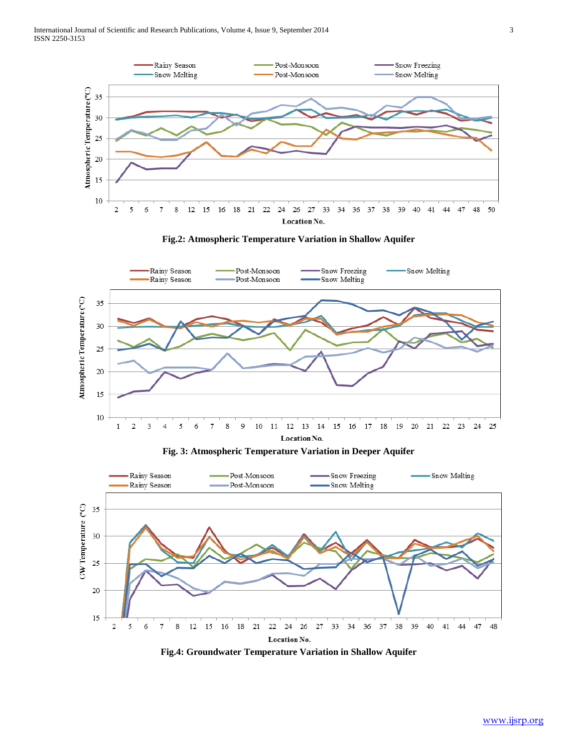





**Fig. 3: Atmospheric Temperature Variation in Deeper Aquifer**



**Fig.4: Groundwater Temperature Variation in Shallow Aquifer**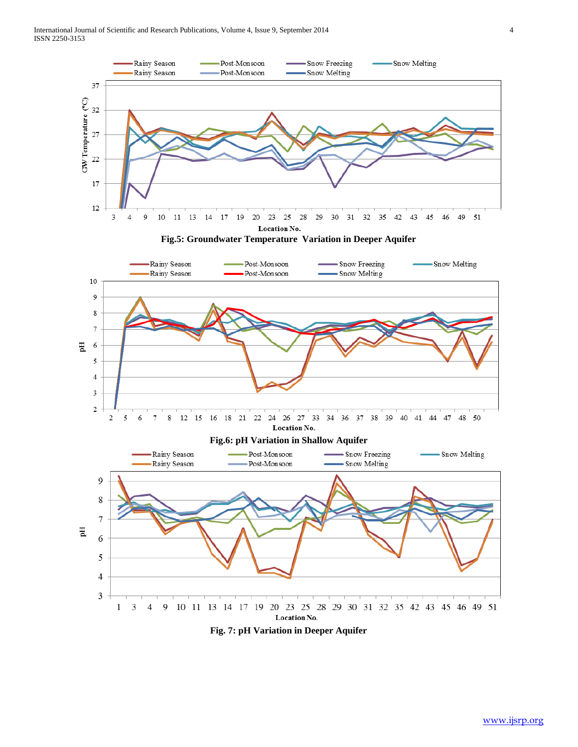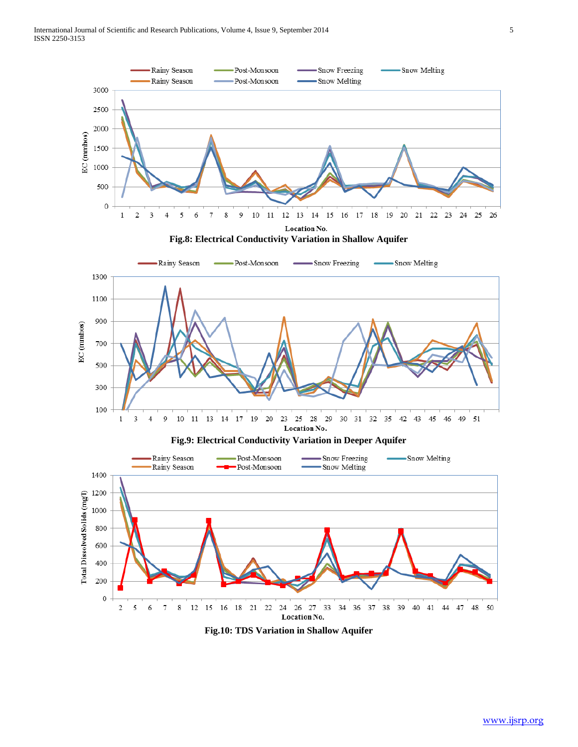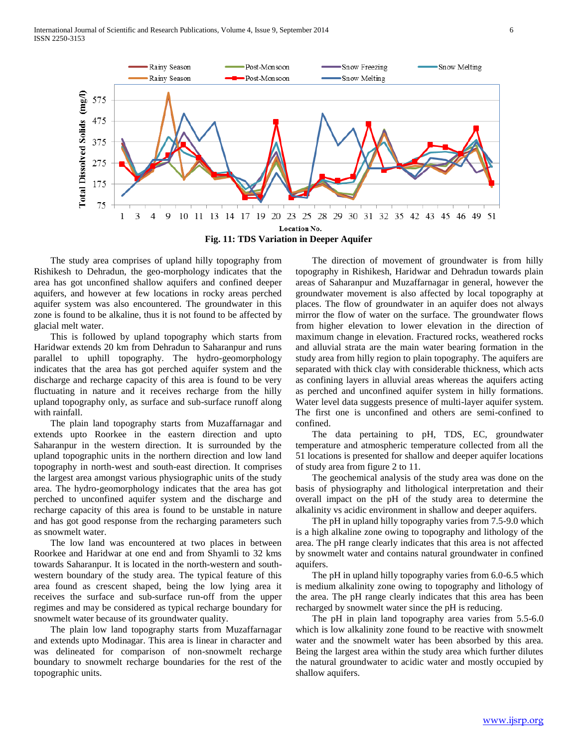

 The study area comprises of upland hilly topography from Rishikesh to Dehradun, the geo-morphology indicates that the area has got unconfined shallow aquifers and confined deeper aquifers, and however at few locations in rocky areas perched aquifer system was also encountered. The groundwater in this zone is found to be alkaline, thus it is not found to be affected by glacial melt water.

 This is followed by upland topography which starts from Haridwar extends 20 km from Dehradun to Saharanpur and runs parallel to uphill topography. The hydro-geomorphology indicates that the area has got perched aquifer system and the discharge and recharge capacity of this area is found to be very fluctuating in nature and it receives recharge from the hilly upland topography only, as surface and sub-surface runoff along with rainfall.

 The plain land topography starts from Muzaffarnagar and extends upto Roorkee in the eastern direction and upto Saharanpur in the western direction. It is surrounded by the upland topographic units in the northern direction and low land topography in north-west and south-east direction. It comprises the largest area amongst various physiographic units of the study area. The hydro-geomorphology indicates that the area has got perched to unconfined aquifer system and the discharge and recharge capacity of this area is found to be unstable in nature and has got good response from the recharging parameters such as snowmelt water.

 The low land was encountered at two places in between Roorkee and Haridwar at one end and from Shyamli to 32 kms towards Saharanpur. It is located in the north-western and southwestern boundary of the study area. The typical feature of this area found as crescent shaped, being the low lying area it receives the surface and sub-surface run-off from the upper regimes and may be considered as typical recharge boundary for snowmelt water because of its groundwater quality.

 The plain low land topography starts from Muzaffarnagar and extends upto Modinagar. This area is linear in character and was delineated for comparison of non-snowmelt recharge boundary to snowmelt recharge boundaries for the rest of the topographic units.

 The direction of movement of groundwater is from hilly topography in Rishikesh, Haridwar and Dehradun towards plain areas of Saharanpur and Muzaffarnagar in general, however the groundwater movement is also affected by local topography at places. The flow of groundwater in an aquifer does not always mirror the flow of water on the surface. The groundwater flows from higher elevation to lower elevation in the direction of maximum change in elevation. Fractured rocks, weathered rocks and alluvial strata are the main water bearing formation in the study area from hilly region to plain topography. The aquifers are separated with thick clay with considerable thickness, which acts as confining layers in alluvial areas whereas the aquifers acting as perched and unconfined aquifer system in hilly formations. Water level data suggests presence of multi-layer aquifer system. The first one is unconfined and others are semi-confined to confined.

 The data pertaining to pH, TDS, EC, groundwater temperature and atmospheric temperature collected from all the 51 locations is presented for shallow and deeper aquifer locations of study area from figure 2 to 11.

 The geochemical analysis of the study area was done on the basis of physiography and lithological interpretation and their overall impact on the pH of the study area to determine the alkalinity vs acidic environment in shallow and deeper aquifers.

 The pH in upland hilly topography varies from 7.5-9.0 which is a high alkaline zone owing to topography and lithology of the area. The pH range clearly indicates that this area is not affected by snowmelt water and contains natural groundwater in confined aquifers.

 The pH in upland hilly topography varies from 6.0-6.5 which is medium alkalinity zone owing to topography and lithology of the area. The pH range clearly indicates that this area has been recharged by snowmelt water since the pH is reducing.

 The pH in plain land topography area varies from 5.5-6.0 which is low alkalinity zone found to be reactive with snowmelt water and the snowmelt water has been absorbed by this area. Being the largest area within the study area which further dilutes the natural groundwater to acidic water and mostly occupied by shallow aquifers.